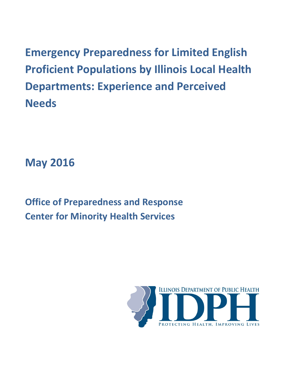**Emergency Preparedness for Limited English Proficient Populations by Illinois Local Health Departments: Experience and Perceived Needs**

**May 2016**

**Office of Preparedness and Response Center for Minority Health Services**

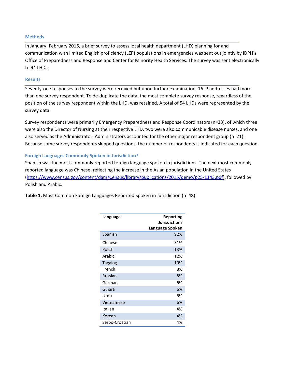### **Methods**

In January–February 2016, a brief survey to assess local health department (LHD) planning for and communication with limited English proficiency (LEP) populations in emergencies was sent out jointly by IDPH's Office of Preparedness and Response and Center for Minority Health Services. The survey was sent electronically to 94 LHDs.

### **Results**

Seventy-one responses to the survey were received but upon further examination, 16 IP addresses had more than one survey respondent. To de-duplicate the data, the most complete survey response, regardless of the position of the survey respondent within the LHD, was retained. A total of 54 LHDs were represented by the survey data.

Survey respondents were primarily Emergency Preparedness and Response Coordinators (n=33), of which three were also the Director of Nursing at their respective LHD, two were also communicable disease nurses, and one also served as the Administrator. Administrators accounted for the other major respondent group (n=21). Because some survey respondents skipped questions, the number of respondents is indicated for each question.

### **Foreign Languages Commonly Spoken in Jurisdiction?**

Spanish was the most commonly reported foreign language spoken in jurisdictions. The next most commonly reported language was Chinese, reflecting the increase in the Asian population in the United States [\(https://www.census.gov/content/dam/Census/library/publications/2015/demo/p25-1143.pdf\)](https://www.census.gov/content/dam/Census/library/publications/2015/demo/p25-1143.pdf), followed by Polish and Arabic.

**Table 1.** Most Common Foreign Languages Reported Spoken in Jurisdiction (n=48)

| Language       | Reporting<br><b>Jurisdictions</b><br>Language Spoken |
|----------------|------------------------------------------------------|
| Spanish        | 92%                                                  |
| Chinese        | 31%                                                  |
| Polish         | 13%                                                  |
| Arabic         | 12%                                                  |
| Tagalog        | 10%                                                  |
| French         | 8%                                                   |
| <b>Russian</b> | 8%                                                   |
| German         | 6%                                                   |
| Gujarti        | 6%                                                   |
| Urdu           | 6%                                                   |
| Vietnamese     | 6%                                                   |
| Italian        | 4%                                                   |
| Korean         | 4%                                                   |
| Serbo-Croatian | 4%                                                   |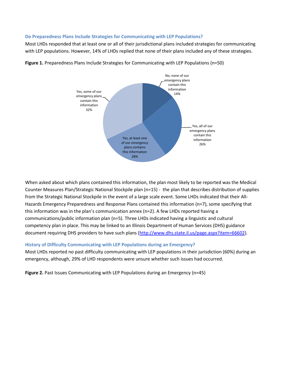## **Do Preparedness Plans Include Strategies for Communicating with LEP Populations?**

Most LHDs responded that at least one or all of their jurisdictional plans included strategies for communicating with LEP populations. However, 14% of LHDs replied that none of their plans included any of these strategies.



**Figure 1.** Preparedness Plans Include Strategies for Communicating with LEP Populations (n=50)

When asked about which plans contained this information, the plan most likely to be reported was the Medical Counter Measures Plan/Strategic National Stockpile plan (n=15) - the plan that describes distribution of supplies from the Strategic National Stockpile in the event of a large scale event. Some LHDs indicated that their All-Hazards Emergency Preparedness and Response Plans contained this information (n=7), some specifying that this information was in the plan's communication annex (n=2). A few LHDs reported having a communications/public information plan (n=5). Three LHDs indicated having a linguistic and cultural competency plan in place. This may be linked to an Illinois Department of Human Services (DHS) guidance document requiring DHS providers to have such plans [\(http://www.dhs.state.il.us/page.aspx?item=66602\)](http://www.dhs.state.il.us/page.aspx?item=66602).

## **History of Difficulty Communicating with LEP Populations during an Emergency?**

Most LHDs reported no past difficulty communicating with LEP populations in their jurisdiction (60%) during an emergency, although, 29% of LHD respondents were unsure whether such issues had occurred.

**Figure 2.** Past Issues Communicating with LEP Populations during an Emergency (n=45)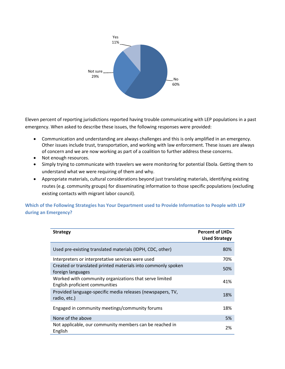

Eleven percent of reporting jurisdictions reported having trouble communicating with LEP populations in a past emergency. When asked to describe these issues, the following responses were provided:

- Communication and understanding are always challenges and this is only amplified in an emergency. Other issues include trust, transportation, and working with law enforcement. These issues are always of concern and we are now working as part of a coalition to further address these concerns.
- Not enough resources.
- Simply trying to communicate with travelers we were monitoring for potential Ebola. Getting them to understand what we were requiring of them and why.
- Appropriate materials, cultural considerations beyond just translating materials, identifying existing routes (e.g. community groups) for disseminating information to those specific populations (excluding existing contacts with migrant labor council).

**Which of the Following Strategies has Your Department used to Provide Information to People with LEP during an Emergency?**

| <b>Strategy</b>                                                                          | <b>Percent of LHDs</b><br><b>Used Strategy</b> |
|------------------------------------------------------------------------------------------|------------------------------------------------|
| Used pre-existing translated materials (IDPH, CDC, other)                                | 80%                                            |
| Interpreters or interpretative services were used                                        | 70%                                            |
| Created or translated printed materials into commonly spoken<br>foreign languages        | 50%                                            |
| Worked with community organizations that serve limited<br>English proficient communities | 41%                                            |
| Provided language-specific media releases (newspapers, TV,<br>radio, etc.)               | 18%                                            |
| Engaged in community meetings/community forums                                           | 18%                                            |
| None of the above                                                                        | 5%                                             |
| Not applicable, our community members can be reached in<br>English                       | 2%                                             |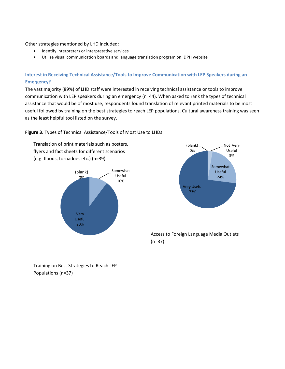### Other strategies mentioned by LHD included:

- Identify interpreters or interpretative services
- Utilize visual communication boards and language translation program on IDPH website

# **Interest in Receiving Technical Assistance/Tools to Improve Communication with LEP Speakers during an Emergency?**

The vast majority (89%) of LHD staff were interested in receiving technical assistance or tools to improve communication with LEP speakers during an emergency (n=44). When asked to rank the types of technical assistance that would be of most use, respondents found translation of relevant printed materials to be most useful followed by training on the best strategies to reach LEP populations. Cultural awareness training was seen as the least helpful tool listed on the survey.

## **Figure 3.** Types of Technical Assistance/Tools of Most Use to LHDs

Translation of print materials such as posters, flyers and fact sheets for different scenarios (e.g. floods, tornadoes etc.) (n=39)





# Access to Foreign Language Media Outlets (n=37)

Training on Best Strategies to Reach LEP Populations (n=37)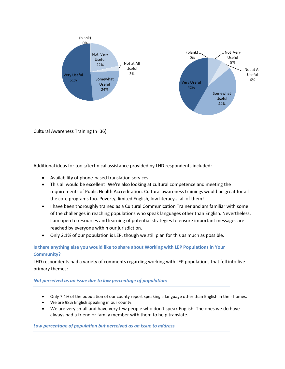

Cultural Awareness Training (n=36)

Additional ideas for tools/technical assistance provided by LHD respondents included:

- Availability of phone-based translation services.
- This all would be excellent! We're also looking at cultural competence and meeting the requirements of Public Health Accreditation. Cultural awareness trainings would be great for all the core programs too. Poverty, limited English, low literacy....all of them!
- I have been thoroughly trained as a Cultural Communication Trainer and am familiar with some of the challenges in reaching populations who speak languages other than English. Nevertheless, I am open to resources and learning of potential strategies to ensure important messages are reached by everyone within our jurisdiction.
- Only 2.1% of our population is LEP, though we still plan for this as much as possible.

# **Is there anything else you would like to share about Working with LEP Populations in Your Community?**

LHD respondents had a variety of comments regarding working with LEP populations that fell into five primary themes:

## *Not perceived as an issue due to low percentage of population:*

- Only 7.4% of the population of our county report speaking a language other than English in their homes.
- We are 98% English speaking in our county.
- We are very small and have very few people who don't speak English. The ones we do have always had a friend or family member with them to help translate.

## *Low percentage of population but perceived as an issue to address*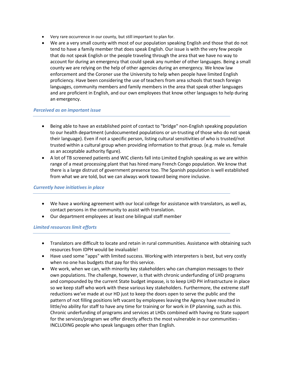- Very rare occurrence in our county, but still important to plan for.
- We are a very small county with most of our population speaking English and those that do not tend to have a family member that does speak English. Our issue is with the very few people that do not speak English or the people traveling through the area that we have no way to account for during an emergency that could speak any number of other languages. Being a small county we are relying on the help of other agencies during an emergency. We know law enforcement and the Coroner use the University to help when people have limited English proficiency. Have been considering the use of teachers from area schools that teach foreign languages, community members and family members in the area that speak other languages and are proficient in English, and our own employees that know other languages to help during an emergency.

### *Perceived as an important issue*

- Being able to have an established point of contact to "bridge" non-English speaking population to our health department (undocumented populations or un-trusting of those who do not speak their language). Even if not a specific person, listing cultural sensitivities of who is trusted/not trusted within a cultural group when providing information to that group. (e.g. male vs. female as an acceptable authority figure).
- A lot of TB screened patients and WIC clients fall into Limited English speaking as we are within range of a meat processing plant that has hired many French Congo population. We know that there is a large distrust of government presence too. The Spanish population is well established from what we are told, but we can always work toward being more inclusive.

### *Currently have initiatives in place*

- We have a working agreement with our local college for assistance with translators, as well as, contact persons in the community to assist with translation.
- Our department employees at least one bilingual staff member

## *Limited resources limit efforts*

- Translators are difficult to locate and retain in rural communities. Assistance with obtaining such resources from IDPH would be invaluable!
- Have used some "apps" with limited success. Working with interpreters is best, but very costly when no one has budgets that pay for this service.
- We work, when we can, with minority key stakeholders who can champion messages to their own populations. The challenge, however, is that with chronic underfunding of LHD programs and compounded by the current State budget impasse, is to keep LHD PH infrastructure in place so we keep staff who work with these various key stakeholders. Furthermore, the extreme staff reductions we've made at our HD just to keep the doors open to serve the public and the pattern of not filling positions left vacant by employees leaving the Agency have resulted in little/no ability for staff to have any time for training or for work in EP planning, such as this. Chronic underfunding of programs and services at LHDs combined with having no State support for the services/program we offer directly affects the most vulnerable in our communities - INCLUDING people who speak languages other than English.